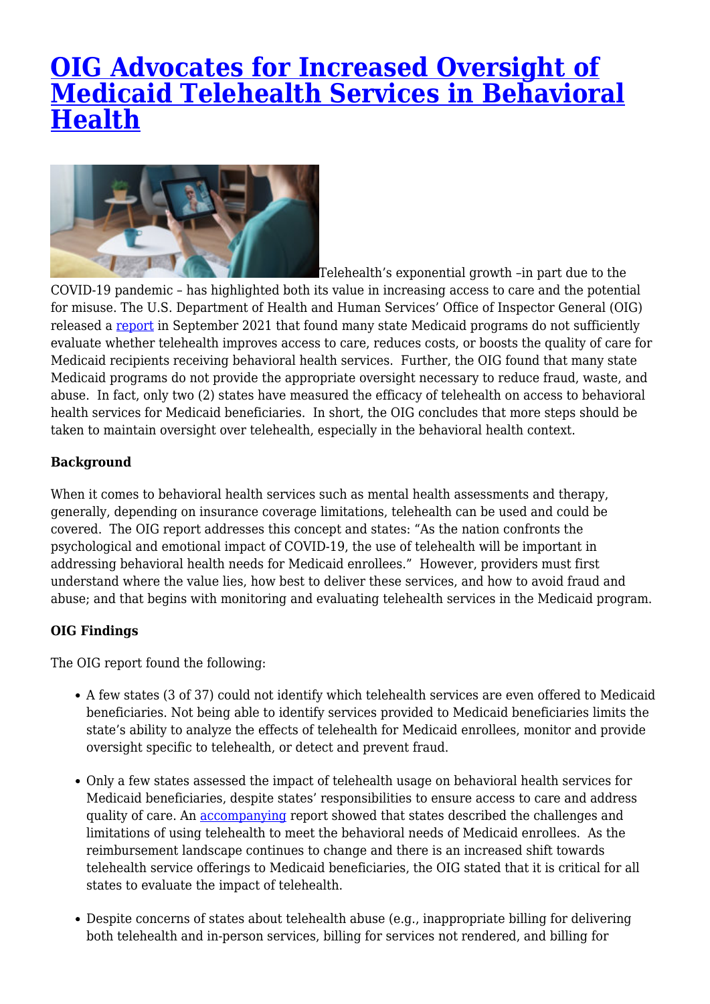# **[OIG Advocates for Increased Oversight of](https://www.lifesciencesperspectives.com/2021/11/03/oig-advocates-for-increased-oversight-of-medicaid-telehealth-services-in-behavioral-health/) [Medicaid Telehealth Services in Behavioral](https://www.lifesciencesperspectives.com/2021/11/03/oig-advocates-for-increased-oversight-of-medicaid-telehealth-services-in-behavioral-health/) [Health](https://www.lifesciencesperspectives.com/2021/11/03/oig-advocates-for-increased-oversight-of-medicaid-telehealth-services-in-behavioral-health/)**



Telehealth's exponential growth –in part due to the COVID-19 pandemic – has highlighted both its value in increasing access to care and the potential for misuse. The U.S. Department of Health and Human Services' Office of Inspector General (OIG) released a [report](https://oig.hhs.gov/oei/reports/OEI-02-19-00401.pdf) in September 2021 that found many state Medicaid programs do not sufficiently evaluate whether telehealth improves access to care, reduces costs, or boosts the quality of care for Medicaid recipients receiving behavioral health services. Further, the OIG found that many state Medicaid programs do not provide the appropriate oversight necessary to reduce fraud, waste, and abuse. In fact, only two (2) states have measured the efficacy of telehealth on access to behavioral health services for Medicaid beneficiaries. In short, the OIG concludes that more steps should be taken to maintain oversight over telehealth, especially in the behavioral health context.

## **Background**

When it comes to behavioral health services such as mental health assessments and therapy, generally, depending on insurance coverage limitations, telehealth can be used and could be covered. The OIG report addresses this concept and states: "As the nation confronts the psychological and emotional impact of COVID-19, the use of telehealth will be important in addressing behavioral health needs for Medicaid enrollees." However, providers must first understand where the value lies, how best to deliver these services, and how to avoid fraud and abuse; and that begins with monitoring and evaluating telehealth services in the Medicaid program.

### **OIG Findings**

The OIG report found the following:

- A few states (3 of 37) could not identify which telehealth services are even offered to Medicaid beneficiaries. Not being able to identify services provided to Medicaid beneficiaries limits the state's ability to analyze the effects of telehealth for Medicaid enrollees, monitor and provide oversight specific to telehealth, or detect and prevent fraud.
- Only a few states assessed the impact of telehealth usage on behavioral health services for Medicaid beneficiaries, despite states' responsibilities to ensure access to care and address quality of care. An [accompanying](https://oig.hhs.gov/oei/reports/OEI-02-19-00400.pdf) report showed that states described the challenges and limitations of using telehealth to meet the behavioral needs of Medicaid enrollees. As the reimbursement landscape continues to change and there is an increased shift towards telehealth service offerings to Medicaid beneficiaries, the OIG stated that it is critical for all states to evaluate the impact of telehealth.
- Despite concerns of states about telehealth abuse (e.g., inappropriate billing for delivering both telehealth and in-person services, billing for services not rendered, and billing for